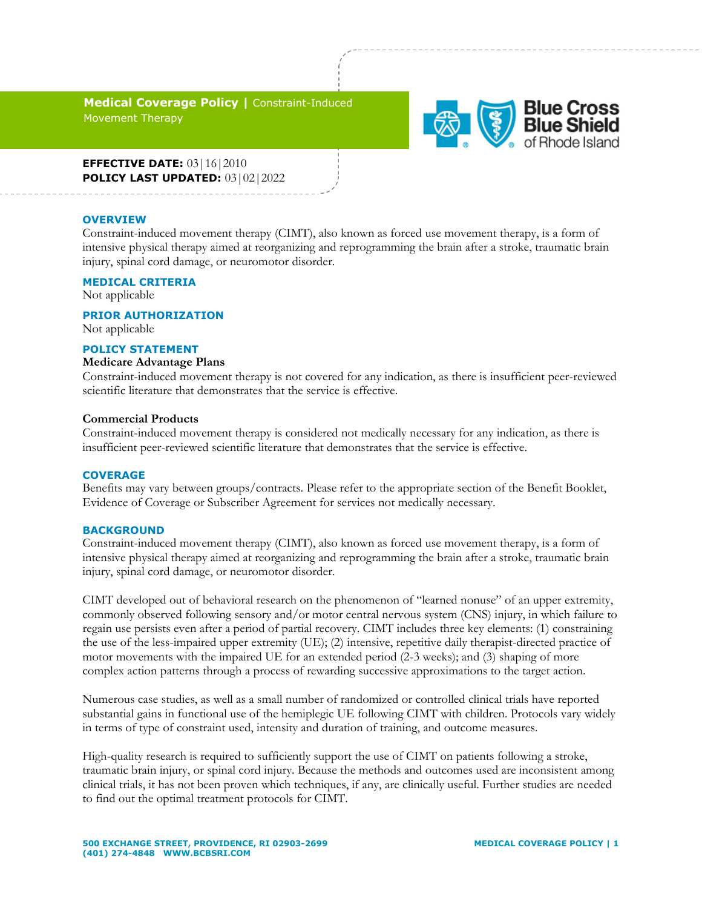**Medical Coverage Policy |** Constraint-Induced Movement Therapy



**EFFECTIVE DATE:** 03|16|2010 **POLICY LAST UPDATED:** 03|02|2022

#### **OVERVIEW**

Constraint-induced movement therapy (CIMT), also known as forced use movement therapy, is a form of intensive physical therapy aimed at reorganizing and reprogramming the brain after a stroke, traumatic brain injury, spinal cord damage, or neuromotor disorder.

# **MEDICAL CRITERIA**

Not applicable

#### **PRIOR AUTHORIZATION**

Not applicable

#### **POLICY STATEMENT**

#### **Medicare Advantage Plans**

Constraint-induced movement therapy is not covered for any indication, as there is insufficient peer-reviewed scientific literature that demonstrates that the service is effective.

### **Commercial Products**

Constraint-induced movement therapy is considered not medically necessary for any indication, as there is insufficient peer-reviewed scientific literature that demonstrates that the service is effective.

#### **COVERAGE**

Benefits may vary between groups/contracts. Please refer to the appropriate section of the Benefit Booklet, Evidence of Coverage or Subscriber Agreement for services not medically necessary.

## **BACKGROUND**

Constraint-induced movement therapy (CIMT), also known as forced use movement therapy, is a form of intensive physical therapy aimed at reorganizing and reprogramming the brain after a stroke, traumatic brain injury, spinal cord damage, or neuromotor disorder.

CIMT developed out of behavioral research on the phenomenon of "learned nonuse" of an upper extremity, commonly observed following sensory and/or motor central nervous system (CNS) injury, in which failure to regain use persists even after a period of partial recovery. CIMT includes three key elements: (1) constraining the use of the less-impaired upper extremity (UE); (2) intensive, repetitive daily therapist-directed practice of motor movements with the impaired UE for an extended period (2-3 weeks); and (3) shaping of more complex action patterns through a process of rewarding successive approximations to the target action.

Numerous case studies, as well as a small number of randomized or controlled clinical trials have reported substantial gains in functional use of the hemiplegic UE following CIMT with children. Protocols vary widely in terms of type of constraint used, intensity and duration of training, and outcome measures.

High-quality research is required to sufficiently support the use of CIMT on patients following a stroke, traumatic brain injury, or spinal cord injury. Because the methods and outcomes used are inconsistent among clinical trials, it has not been proven which techniques, if any, are clinically useful. Further studies are needed to find out the optimal treatment protocols for CIMT.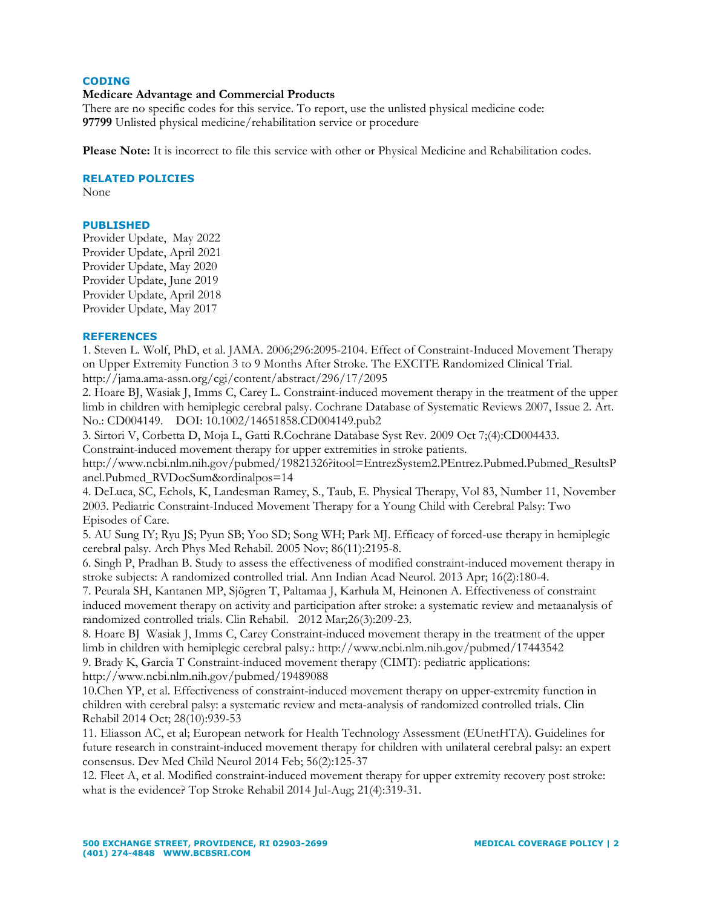# **CODING**

# **Medicare Advantage and Commercial Products**

There are no specific codes for this service. To report, use the unlisted physical medicine code: **97799** Unlisted physical medicine/rehabilitation service or procedure

**Please Note:** It is incorrect to file this service with other or Physical Medicine and Rehabilitation codes.

### **RELATED POLICIES**

None

# **PUBLISHED**

Provider Update, May 2022 Provider Update, April 2021 Provider Update, May 2020 Provider Update, June 2019 Provider Update, April 2018 Provider Update, May 2017

# **REFERENCES**

1. Steven L. Wolf, PhD, et al. JAMA. 2006;296:2095-2104. Effect of Constraint-Induced Movement Therapy on Upper Extremity Function 3 to 9 Months After Stroke. The EXCITE Randomized Clinical Trial. http://jama.ama-assn.org/cgi/content/abstract/296/17/2095

2. Hoare BJ, Wasiak J, Imms C, Carey L. Constraint-induced movement therapy in the treatment of the upper limb in children with hemiplegic cerebral palsy. Cochrane Database of Systematic Reviews 2007, Issue 2. Art. No.: CD004149. DOI: 10.1002/14651858.CD004149.pub2

3. Sirtori V, Corbetta D, Moja L, Gatti R.Cochrane Database Syst Rev. 2009 Oct 7;(4):CD004433.

Constraint-induced movement therapy for upper extremities in stroke patients.

http://www.ncbi.nlm.nih.gov/pubmed/19821326?itool=EntrezSystem2.PEntrez.Pubmed.Pubmed\_ResultsP anel.Pubmed\_RVDocSum&ordinalpos=14

4. DeLuca, SC, Echols, K, Landesman Ramey, S., Taub, E. Physical Therapy, Vol 83, Number 11, November 2003. Pediatric Constraint-Induced Movement Therapy for a Young Child with Cerebral Palsy: Two Episodes of Care.

5. AU Sung IY; Ryu JS; Pyun SB; Yoo SD; Song WH; Park MJ. Efficacy of forced-use therapy in hemiplegic cerebral palsy. Arch Phys Med Rehabil. 2005 Nov; 86(11):2195-8.

6. Singh P, Pradhan B. Study to assess the effectiveness of modified constraint-induced movement therapy in stroke subjects: A randomized controlled trial. Ann Indian Acad Neurol. 2013 Apr; 16(2):180-4.

7. Peurala SH, Kantanen MP, Sjögren T, Paltamaa J, Karhula M, Heinonen A. Effectiveness of constraint induced movement therapy on activity and participation after stroke: a systematic review and metaanalysis of randomized controlled trials. Clin Rehabil. 2012 Mar;26(3):209-23.

8. [Hoare BJ](http://www.ncbi.nlm.nih.gov/pubmed?term=Hoare%20BJ%5BAuthor%5D&cauthor=true&cauthor_uid=17443542) [Wasiak J,](http://www.ncbi.nlm.nih.gov/pubmed?term=Wasiak%20J%5BAuthor%5D&cauthor=true&cauthor_uid=17443542) [Imms C,](http://www.ncbi.nlm.nih.gov/pubmed?term=Imms%20C%5BAuthor%5D&cauthor=true&cauthor_uid=17443542) [Carey C](http://www.ncbi.nlm.nih.gov/pubmed?term=Carey%20L%5BAuthor%5D&cauthor=true&cauthor_uid=17443542)onstraint-induced movement therapy in the treatment of the upper limb in children with hemiplegic cerebral palsy.: http://www.ncbi.nlm.nih.gov/pubmed/17443542 9. [Brady K,](http://www.ncbi.nlm.nih.gov/pubmed?term=Brady%20K%5BAuthor%5D&cauthor=true&cauthor_uid=19489088) [Garcia T](http://www.ncbi.nlm.nih.gov/pubmed?term=Garcia%20T%5BAuthor%5D&cauthor=true&cauthor_uid=19489088) Constraint-induced movement therapy (CIMT): pediatric applications: http://www.ncbi.nlm.nih.gov/pubmed/19489088

10.Chen YP, et al. Effectiveness of constraint-induced movement therapy on upper-extremity function in children with cerebral palsy: a systematic review and meta-analysis of randomized controlled trials. Clin Rehabil 2014 Oct; 28(10):939-53

11. Eliasson AC, et al; European network for Health Technology Assessment (EUnetHTA). Guidelines for future research in constraint-induced movement therapy for children with unilateral cerebral palsy: an expert consensus. Dev Med Child Neurol 2014 Feb; 56(2):125-37

12. Fleet A, et al. Modified constraint-induced movement therapy for upper extremity recovery post stroke: what is the evidence? Top Stroke Rehabil 2014 Jul-Aug; 21(4):319-31.